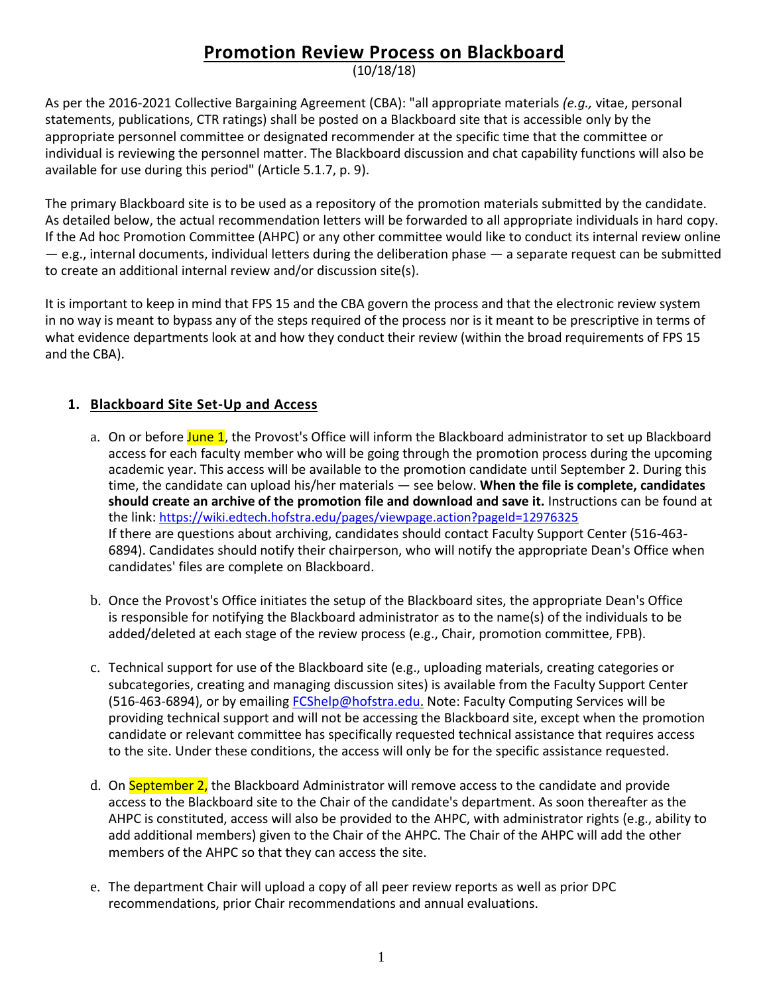## **Promotion Review Process on Blackboard**

(10/18/18)

As per the 2016-2021 Collective Bargaining Agreement (CBA): "all appropriate materials *(e.g.,* vitae, personal statements, publications, CTR ratings) shall be posted on a Blackboard site that is accessible only by the appropriate personnel committee or designated recommender at the specific time that the committee or individual is reviewing the personnel matter. The Blackboard discussion and chat capability functions will also be available for use during this period" (Article 5.1.7, p. 9).

The primary Blackboard site is to be used as a repository of the promotion materials submitted by the candidate. As detailed below, the actual recommendation letters will be forwarded to all appropriate individuals in hard copy. If the Ad hoc Promotion Committee (AHPC) or any other committee would like to conduct its internal review online — e.g., internal documents, individual letters during the deliberation phase — a separate request can be submitted to create an additional internal review and/or discussion site(s).

It is important to keep in mind that FPS 15 and the CBA govern the process and that the electronic review system in no way is meant to bypass any of the steps required of the process nor is it meant to be prescriptive in terms of what evidence departments look at and how they conduct their review (within the broad requirements of FPS 15 and the CBA).

## **1. Blackboard Site Set-Up and Access**

- a. On or before June 1, the Provost's Office will inform the Blackboard administrator to set up Blackboard access for each faculty member who will be going through the promotion process during the upcoming academic year. This access will be available to the promotion candidate until September 2. During this time, the candidate can upload his/her materials — see below. **When the file is complete, candidates should create an archive of the promotion file and download and save it.** Instructions can be found at the link: [https://wiki.edtech.hofstra.edu/pages/viewpage.action?pageId=12976325](https://na01.safelinks.protection.outlook.com/?url=https%3A%2F%2Fwiki.edtech.hofstra.edu%2Fpages%2Fviewpage.action%3FpageId%3D12976325&data=02%7C01%7CChristine.M.Jenkinson%40hofstra.edu%7C9b095b2c3d5f4ec0e56208d63503a39b%7Ce32fc43d7c6246d9b49fcd53ba8d9424%7C0%7C0%7C636754687078293972&sdata=PJ3lEtqfyw1aNqPADjAMEuFPPzgSNqZYtX6fMY6PPfY%3D&reserved=0) If there are questions about archiving, candidates should contact Faculty Support Center (516-463- 6894). Candidates should notify their chairperson, who will notify the appropriate Dean's Office when candidates' files are complete on Blackboard.
- b. Once the Provost's Office initiates the setup of the Blackboard sites, the appropriate Dean's Office is responsible for notifying the Blackboard administrator as to the name(s) of the individuals to be added/deleted at each stage of the review process (e.g., Chair, promotion committee, FPB).
- c. Technical support for use of the Blackboard site (e.g., uploading materials, creating categories or subcategories, creating and managing discussion sites) is available from the Faculty Support Center (516-463-6894), or by emailing **FCShelp@hofstra.edu.** Note: Faculty Computing Services will be providing technical support and will not be accessing the Blackboard site, except when the promotion candidate or relevant committee has specifically requested technical assistance that requires access to the site. Under these conditions, the access will only be for the specific assistance requested.
- d. On September 2, the Blackboard Administrator will remove access to the candidate and provide access to the Blackboard site to the Chair of the candidate's department. As soon thereafter as the AHPC is constituted, access will also be provided to the AHPC, with administrator rights (e.g., ability to add additional members) given to the Chair of the AHPC. The Chair of the AHPC will add the other members of the AHPC so that they can access the site.
- e. The department Chair will upload a copy of all peer review reports as well as prior DPC recommendations, prior Chair recommendations and annual evaluations.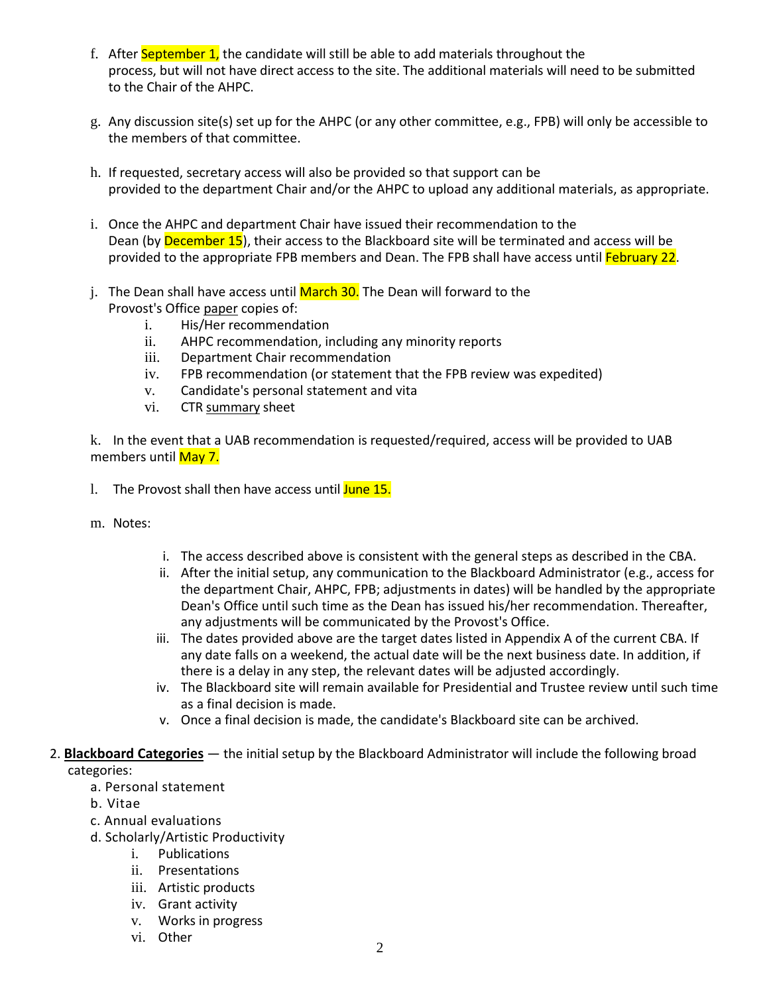- f. After September 1, the candidate will still be able to add materials throughout the process, but will not have direct access to the site. The additional materials will need to be submitted to the Chair of the AHPC.
- g. Any discussion site(s) set up for the AHPC (or any other committee, e.g., FPB) will only be accessible to the members of that committee.
- h. If requested, secretary access will also be provided so that support can be provided to the department Chair and/or the AHPC to upload any additional materials, as appropriate.
- i. Once the AHPC and department Chair have issued their recommendation to the Dean (by December 15), their access to the Blackboard site will be terminated and access will be provided to the appropriate FPB members and Dean. The FPB shall have access until February 22.
- j. The Dean shall have access until March 30. The Dean will forward to the Provost's Office paper copies of:
	- i. His/Her recommendation
	- ii. AHPC recommendation, including any minority reports
	- iii. Department Chair recommendation
	- iv. FPB recommendation (or statement that the FPB review was expedited)
	- v. Candidate's personal statement and vita
	- vi. CTR summary sheet

k. In the event that a UAB recommendation is requested/required, access will be provided to UAB members until May 7.

- 1. The Provost shall then have access until June 15.
- m. Notes:
- i. The access described above is consistent with the general steps as described in the CBA.
- ii. After the initial setup, any communication to the Blackboard Administrator (e.g., access for the department Chair, AHPC, FPB; adjustments in dates) will be handled by the appropriate Dean's Office until such time as the Dean has issued his/her recommendation. Thereafter, any adjustments will be communicated by the Provost's Office.
- iii. The dates provided above are the target dates listed in Appendix A of the current CBA. If any date falls on a weekend, the actual date will be the next business date. In addition, if there is a delay in any step, the relevant dates will be adjusted accordingly.
- iv. The Blackboard site will remain available for Presidential and Trustee review until such time as a final decision is made.
- v. Once a final decision is made, the candidate's Blackboard site can be archived.
- 2. **Blackboard Categories** the initial setup by the Blackboard Administrator will include the following broad categories:
	- a. Personal statement
	- b. Vitae
	- c. Annual evaluations
	- d. Scholarly/Artistic Productivity
		- i. Publications
		- ii. Presentations
		- iii. Artistic products
		- iv. Grant activity
		- v. Works in progress
		- vi. Other